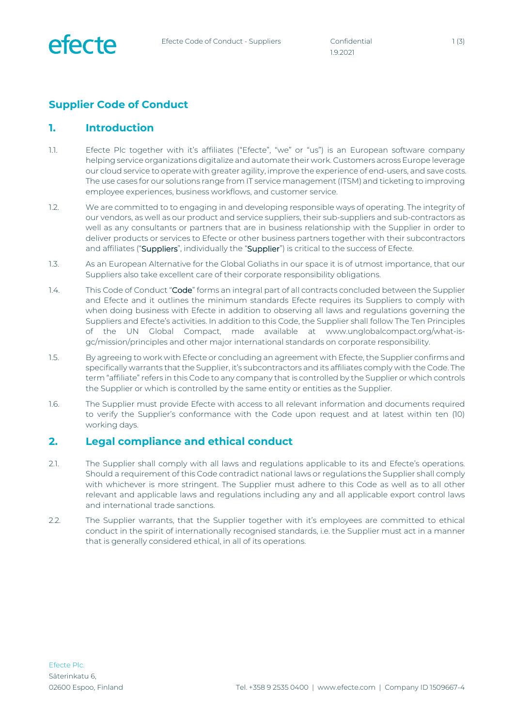

1.9.2021

# **Supplier Code of Conduct**

### **1. Introduction**

- 1.1. Efecte Plc together with it's affiliates ("Efecte", "we" or "us") is an European software company helping service organizations digitalize and automate their work. Customers across Europe leverage our cloud service to operate with greater agility, improve the experience of end-users, and save costs. The use cases for our solutions range from IT service management (ITSM) and ticketing to improving employee experiences, business workflows, and customer service.
- 1.2. We are committed to to engaging in and developing responsible ways of operating. The integrity of our vendors, as well as our product and service suppliers, their sub-suppliers and sub-contractors as well as any consultants or partners that are in business relationship with the Supplier in order to deliver products or services to Efecte or other business partners together with their subcontractors and affiliates ("Suppliers", individually the "Supplier") is critical to the success of Efecte.
- 1.3. As an European Alternative for the Global Goliaths in our space it is of utmost importance, that our Suppliers also take excellent care of their corporate responsibility obligations.
- 1.4. This Code of Conduct "Code" forms an integral part of all contracts concluded between the Supplier and Efecte and it outlines the minimum standards Efecte requires its Suppliers to comply with when doing business with Efecte in addition to observing all laws and regulations governing the Suppliers and Efecte's activities. In addition to this Code, the Supplier shall follow The Ten Principles of the UN Global Compact, made available at www.unglobalcompact.org/what-isgc/mission/principles and other major international standards on corporate responsibility.
- 1.5. By agreeing to work with Efecte or concluding an agreement with Efecte, the Supplier confirms and specifically warrants that the Supplier, it's subcontractors and its affiliates comply with the Code. The term "affiliate" refers in this Code to any company that is controlled by the Supplier or which controls the Supplier or which is controlled by the same entity or entities as the Supplier.
- 1.6. The Supplier must provide Efecte with access to all relevant information and documents required to verify the Supplier's conformance with the Code upon request and at latest within ten (10) working days.

### **2. Legal compliance and ethical conduct**

- 2.1. The Supplier shall comply with all laws and regulations applicable to its and Efecte's operations. Should a requirement of this Code contradict national laws or regulations the Supplier shall comply with whichever is more stringent. The Supplier must adhere to this Code as well as to all other relevant and applicable laws and regulations including any and all applicable export control laws and international trade sanctions.
- 2.2. The Supplier warrants, that the Supplier together with it's employees are committed to ethical conduct in the spirit of internationally recognised standards, i.e. the Supplier must act in a manner that is generally considered ethical, in all of its operations.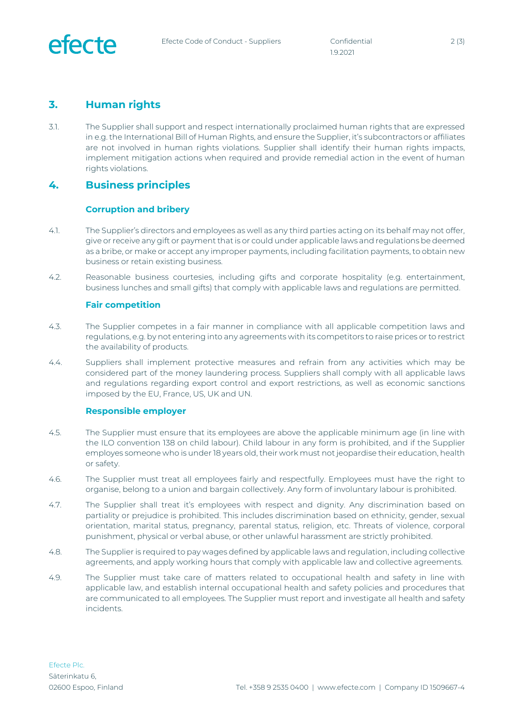

## **3. Human rights**

3.1. The Supplier shall support and respect internationally proclaimed human rights that are expressed in e.g. the International Bill of Human Rights, and ensure the Supplier, it's subcontractors or affiliates are not involved in human rights violations. Supplier shall identify their human rights impacts, implement mitigation actions when required and provide remedial action in the event of human rights violations.

### **4. Business principles**

#### **Corruption and bribery**

- 4.1. The Supplier's directors and employees as well as any third parties acting on its behalf may not offer, give or receive any gift or payment that is or could under applicable laws and regulations be deemed as a bribe, or make or accept any improper payments, including facilitation payments, to obtain new business or retain existing business.
- 4.2. Reasonable business courtesies, including gifts and corporate hospitality (e.g. entertainment, business lunches and small gifts) that comply with applicable laws and regulations are permitted.

#### **Fair competition**

- 4.3. The Supplier competes in a fair manner in compliance with all applicable competition laws and regulations, e.g. by not entering into any agreements with its competitors to raise prices or to restrict the availability of products.
- 4.4. Suppliers shall implement protective measures and refrain from any activities which may be considered part of the money laundering process. Suppliers shall comply with all applicable laws and regulations regarding export control and export restrictions, as well as economic sanctions imposed by the EU, France, US, UK and UN.

#### **Responsible employer**

- 4.5. The Supplier must ensure that its employees are above the applicable minimum age (in line with the ILO convention 138 on child labour). Child labour in any form is prohibited, and if the Supplier employes someone who is under 18 years old, their work must not jeopardise their education, health or safety.
- 4.6. The Supplier must treat all employees fairly and respectfully. Employees must have the right to organise, belong to a union and bargain collectively. Any form of involuntary labour is prohibited.
- 4.7. The Supplier shall treat it's employees with respect and dignity. Any discrimination based on partiality or prejudice is prohibited. This includes discrimination based on ethnicity, gender, sexual orientation, marital status, pregnancy, parental status, religion, etc. Threats of violence, corporal punishment, physical or verbal abuse, or other unlawful harassment are strictly prohibited.
- 4.8. The Supplier is required to pay wages defined by applicable laws and regulation, including collective agreements, and apply working hours that comply with applicable law and collective agreements.
- 4.9. The Supplier must take care of matters related to occupational health and safety in line with applicable law, and establish internal occupational health and safety policies and procedures that are communicated to all employees. The Supplier must report and investigate all health and safety incidents.